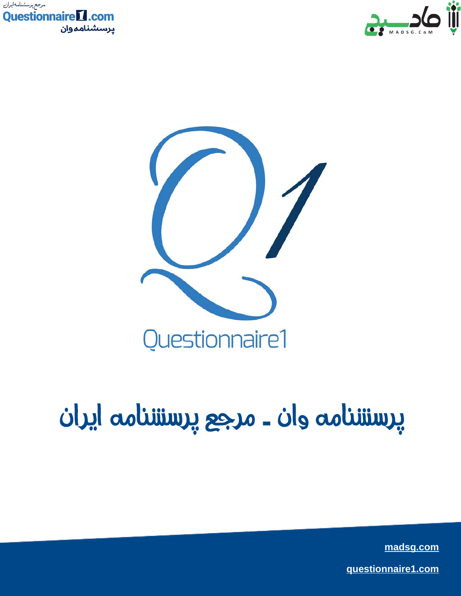





## پرسشنامه وان - مرجع پرسشنامه ایران

made gives **[madsg.com](http://www.madsg.com)**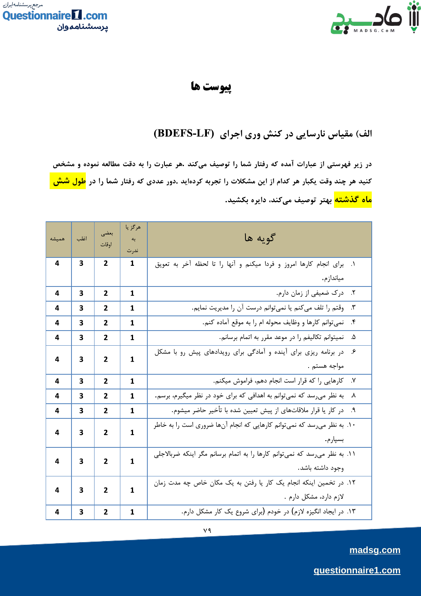



## پيوست ها

## الف) مقیاس نارسایی در کنش وری اجرای (BDEFS-LF)

در زیر فهرستی از عبارات آمده که رفتار شما را توصیف میکند .هر عبارت را به دقت مطالعه نموده و مشخص کنید هر چند وقت یکبار هر کدام از این مشکلات را تجربه کردهاید .دور عددی که رفتار شما را در <mark>طول شش </mark> <mark>ماه گذشته</mark> بهتر توصیف میکند، دایره بکشید.

| هميشه | اغلب | بعضى                | هرگز يا<br>به                                                           | گويه ها                                                                                          |                                                                             |  |  |   |            |
|-------|------|---------------------|-------------------------------------------------------------------------|--------------------------------------------------------------------------------------------------|-----------------------------------------------------------------------------|--|--|---|------------|
|       |      | اوقات               | ندرت                                                                    |                                                                                                  |                                                                             |  |  |   |            |
| 4     | 3    | 2                   | 1                                                                       | برای انجام کارها امروز و فردا میکنم و آنها را تا لحظه آخر به تعویق<br>$\overline{\phantom{a}}$ . |                                                                             |  |  |   |            |
|       |      |                     |                                                                         | مياندازم.                                                                                        |                                                                             |  |  |   |            |
| 4     | 3    | $\mathbf{2}$        | 1                                                                       | ٢. درک ضعیفی از زمان دارم.                                                                       |                                                                             |  |  |   |            |
| 4     | 3    | $\overline{2}$      | 1                                                                       | وقتم را تلف میکنم یا نمیتوانم درست آن را مدیریت نمایم.<br>$\mathcal{N}$                          |                                                                             |  |  |   |            |
| 4     | 3    | $\overline{2}$      | 1                                                                       | نمی توانم کارها و وظایف محوله ام را به موقع آماده کنم.<br>$\cdot$ ۴                              |                                                                             |  |  |   |            |
| 4     | 3    | $\overline{2}$      | 1                                                                       | نميتوانم تكاليفم را در موعد مقرر به اتمام برسانم.<br>۵.                                          |                                                                             |  |  |   |            |
| 4     |      | $\mathbf{2}$        |                                                                         | در برنامه ریزی برای آینده و آمادگی برای رویدادهای پیش رو با مشکل<br>ع.                           |                                                                             |  |  |   |            |
|       | 3    |                     |                                                                         |                                                                                                  |                                                                             |  |  | 1 | مواجه هستم |
| 4     | 3    | $\overline{2}$      | 1                                                                       | كارهايي را كه قرار است انجام دهم، فراموش ميكنم.<br>$\cdot$                                       |                                                                             |  |  |   |            |
| 4     | 3    | $\overline{2}$      | 1                                                                       | به نظر میرسد که نمیتوانم به اهدافی که برای خود در نظر میگیرم، برسم.<br>٨.                        |                                                                             |  |  |   |            |
| 4     | 3    | $\overline{2}$      | 1                                                                       | در کار یا قرار ملاقاتهای از پیش تعیین شده با تأخیر حاضر میشوم.<br>$\mathsf{P}.\mathsf{Q}$        |                                                                             |  |  |   |            |
| 4     | 3    | $\overline{2}$<br>1 | ۱۰. به نظر میرسد که نمیتوانم کارهایی که انجام آنها ضروری است را به خاطر |                                                                                                  |                                                                             |  |  |   |            |
|       |      |                     |                                                                         | بسيار م.                                                                                         |                                                                             |  |  |   |            |
| 4     | 3    | $\mathbf{2}$<br>1   |                                                                         |                                                                                                  | ١١. به نظر می رسد که نمی توانم کارها را به اتمام برسانم مگر اینکه ضربالاجلی |  |  |   |            |
|       |      |                     | وجود داشته باشد.                                                        |                                                                                                  |                                                                             |  |  |   |            |
| 4     | 3    | $\overline{2}$      | $\mathbf{1}$                                                            | ۱۲. در تخمین اینکه انجام یک کار یا رفتن به یک مکان خاص چه مدت زمان                               |                                                                             |  |  |   |            |
|       |      |                     |                                                                         | لازم دارد، مشکل دارم .                                                                           |                                                                             |  |  |   |            |
| 4     | 3    | $\mathbf{2}$        | 1                                                                       | ۱۳. در ایجاد انگیزه لازم) در خودم (برای شروع یک کار مشکل دارم.                                   |                                                                             |  |  |   |            |

madsg.com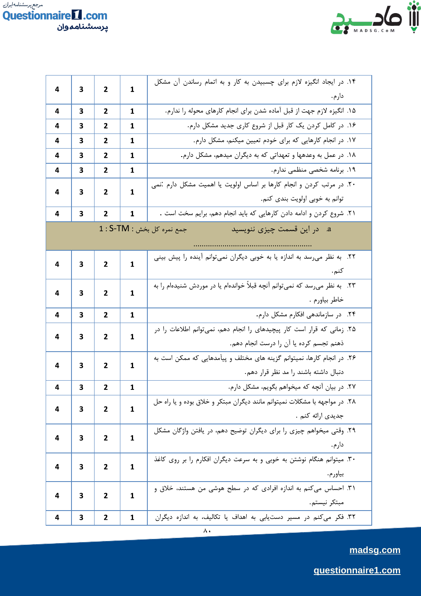



| 4<br>3 |   |                                                                                                                                                                                                                                                                                                                                                                                                                                                                                                                                                                                                                                                             | ۱۴. در ایجاد انگیزه لازم برای چسبیدن به کار و به اتمام رساندن آن مشکل |                                                                                                                                                                                                                                                                                                                                                                                                                                                                                                                                                                                                    |  |  |
|--------|---|-------------------------------------------------------------------------------------------------------------------------------------------------------------------------------------------------------------------------------------------------------------------------------------------------------------------------------------------------------------------------------------------------------------------------------------------------------------------------------------------------------------------------------------------------------------------------------------------------------------------------------------------------------------|-----------------------------------------------------------------------|----------------------------------------------------------------------------------------------------------------------------------------------------------------------------------------------------------------------------------------------------------------------------------------------------------------------------------------------------------------------------------------------------------------------------------------------------------------------------------------------------------------------------------------------------------------------------------------------------|--|--|
|        |   |                                                                                                                                                                                                                                                                                                                                                                                                                                                                                                                                                                                                                                                             |                                                                       | دارم.                                                                                                                                                                                                                                                                                                                                                                                                                                                                                                                                                                                              |  |  |
| 4      | 3 | 2                                                                                                                                                                                                                                                                                                                                                                                                                                                                                                                                                                                                                                                           | 1                                                                     | ۱۵. انگیزه لازم جهت از قبل آماده شدن برای انجام کارهای محوله را ندارم.                                                                                                                                                                                                                                                                                                                                                                                                                                                                                                                             |  |  |
| 4      | 3 | $\mathbf{2}$                                                                                                                                                                                                                                                                                                                                                                                                                                                                                                                                                                                                                                                | 1                                                                     | ۱۶. در کامل کردن یک کار قبل از شروع کاری جدید مشکل دارم.<br>۱۷. در انجام کارهایی که برای خودم تعیین میکنم، مشکل دارم.<br>۱۸. در عمل به وعدهها و تعهداتی که به دیگران میدهم، مشکل دارم.<br>١٩. برنامه شخصى منظمى ندارم.<br>توانم به خوبی اولویت بندی کنم.<br>۲۱. شروع کردن و ادامه دادن کارهایی که باید انجام دهم، برایم سخت است .<br>a. در این قسمت چیزی ننویسید<br>کنم.<br>خاطر بياورم .<br>۲۴. در سازماندهی افکارم مشکل دارم.<br>ذهنم تجسم كرده يا آن را درست انجام دهم.<br>دنبال داشته باشند را مد نظر قرار دهم.<br>۲۷. در بیان آنچه که میخواهم بگویم، مشکل دارم.<br>جدیدی ارائه کنم .<br>دارم. |  |  |
| 4      | 3 | 2                                                                                                                                                                                                                                                                                                                                                                                                                                                                                                                                                                                                                                                           | 1                                                                     |                                                                                                                                                                                                                                                                                                                                                                                                                                                                                                                                                                                                    |  |  |
| 4      | 3 | 2                                                                                                                                                                                                                                                                                                                                                                                                                                                                                                                                                                                                                                                           | 1                                                                     |                                                                                                                                                                                                                                                                                                                                                                                                                                                                                                                                                                                                    |  |  |
| 4      | 3 | 2                                                                                                                                                                                                                                                                                                                                                                                                                                                                                                                                                                                                                                                           | 1                                                                     |                                                                                                                                                                                                                                                                                                                                                                                                                                                                                                                                                                                                    |  |  |
| 4      | з |                                                                                                                                                                                                                                                                                                                                                                                                                                                                                                                                                                                                                                                             |                                                                       | ۲۰. در مرتب کردن و انجام کارها بر اساس اولویت یا اهمیت مشکل دارم :نمی                                                                                                                                                                                                                                                                                                                                                                                                                                                                                                                              |  |  |
|        |   |                                                                                                                                                                                                                                                                                                                                                                                                                                                                                                                                                                                                                                                             |                                                                       |                                                                                                                                                                                                                                                                                                                                                                                                                                                                                                                                                                                                    |  |  |
| 4      | 3 | 2                                                                                                                                                                                                                                                                                                                                                                                                                                                                                                                                                                                                                                                           | 1                                                                     |                                                                                                                                                                                                                                                                                                                                                                                                                                                                                                                                                                                                    |  |  |
|        |   |                                                                                                                                                                                                                                                                                                                                                                                                                                                                                                                                                                                                                                                             |                                                                       |                                                                                                                                                                                                                                                                                                                                                                                                                                                                                                                                                                                                    |  |  |
|        |   |                                                                                                                                                                                                                                                                                                                                                                                                                                                                                                                                                                                                                                                             |                                                                       |                                                                                                                                                                                                                                                                                                                                                                                                                                                                                                                                                                                                    |  |  |
| 4      | 3 |                                                                                                                                                                                                                                                                                                                                                                                                                                                                                                                                                                                                                                                             |                                                                       | ۲۲. به نظر میرسد به اندازه یا به خوبی دیگران نمیتوانم آینده را پیش بینی                                                                                                                                                                                                                                                                                                                                                                                                                                                                                                                            |  |  |
|        |   |                                                                                                                                                                                                                                                                                                                                                                                                                                                                                                                                                                                                                                                             |                                                                       |                                                                                                                                                                                                                                                                                                                                                                                                                                                                                                                                                                                                    |  |  |
| 4      | 3 |                                                                                                                                                                                                                                                                                                                                                                                                                                                                                                                                                                                                                                                             |                                                                       | ۲۳. به نظر میرسد که نمیتوانم آنچه قبلاً خواندهام یا در موردش شنیدهام را به                                                                                                                                                                                                                                                                                                                                                                                                                                                                                                                         |  |  |
|        |   |                                                                                                                                                                                                                                                                                                                                                                                                                                                                                                                                                                                                                                                             |                                                                       |                                                                                                                                                                                                                                                                                                                                                                                                                                                                                                                                                                                                    |  |  |
| 4      | 3 | 2                                                                                                                                                                                                                                                                                                                                                                                                                                                                                                                                                                                                                                                           | 1                                                                     |                                                                                                                                                                                                                                                                                                                                                                                                                                                                                                                                                                                                    |  |  |
| 4      | з |                                                                                                                                                                                                                                                                                                                                                                                                                                                                                                                                                                                                                                                             |                                                                       | ۲۵. زمانی که قرار است کار پیچیدهای را انجام دهم، نمیتوانم اطلاعات را در                                                                                                                                                                                                                                                                                                                                                                                                                                                                                                                            |  |  |
|        |   | 2<br>1<br>2<br>1<br>$1:$ S-TM : جمع نمره کل بخش<br>1<br>2<br>1<br>2<br>2<br>1<br>۲۶. در انجام کارها، نمیتوانم گزینه های مختلف و پیآمدهایی که ممکن است به<br>2<br>1<br>2<br>1<br>۲۸. در مواجهه با مشکلات نمیتوانم مانند دیگران مبتکر و خلاق بوده و یا راه حل<br>$\mathbf{1}$<br>2<br>۲۹. وقتی میخواهم چیزی را برای دیگران توضیح دهم، در یافتن واژگان مشکل<br>1<br>2<br>۳۰. میتوانم هنگام نوشتن به خوبی و به سرعت دیگران افکارم را بر روی کاغذ<br>$\mathbf{2}$<br>1<br>بياورم.<br>۳۱. احساس میکنم به اندازه افرادی که در سطح هوشی من هستند، خلاق و<br>2<br>1<br>مبتكر نيستم.<br>٣٢. فكر مى كنم در مسير دستيابى به اهداف يا تكاليف، به اندازه ديگران<br>2<br>1 |                                                                       |                                                                                                                                                                                                                                                                                                                                                                                                                                                                                                                                                                                                    |  |  |
| 4      | 3 |                                                                                                                                                                                                                                                                                                                                                                                                                                                                                                                                                                                                                                                             |                                                                       |                                                                                                                                                                                                                                                                                                                                                                                                                                                                                                                                                                                                    |  |  |
|        |   |                                                                                                                                                                                                                                                                                                                                                                                                                                                                                                                                                                                                                                                             |                                                                       |                                                                                                                                                                                                                                                                                                                                                                                                                                                                                                                                                                                                    |  |  |
| 4      | 3 |                                                                                                                                                                                                                                                                                                                                                                                                                                                                                                                                                                                                                                                             |                                                                       |                                                                                                                                                                                                                                                                                                                                                                                                                                                                                                                                                                                                    |  |  |
| 4      | 3 |                                                                                                                                                                                                                                                                                                                                                                                                                                                                                                                                                                                                                                                             |                                                                       |                                                                                                                                                                                                                                                                                                                                                                                                                                                                                                                                                                                                    |  |  |
|        |   |                                                                                                                                                                                                                                                                                                                                                                                                                                                                                                                                                                                                                                                             |                                                                       |                                                                                                                                                                                                                                                                                                                                                                                                                                                                                                                                                                                                    |  |  |
| 4      | 3 |                                                                                                                                                                                                                                                                                                                                                                                                                                                                                                                                                                                                                                                             |                                                                       |                                                                                                                                                                                                                                                                                                                                                                                                                                                                                                                                                                                                    |  |  |
|        |   |                                                                                                                                                                                                                                                                                                                                                                                                                                                                                                                                                                                                                                                             |                                                                       |                                                                                                                                                                                                                                                                                                                                                                                                                                                                                                                                                                                                    |  |  |
| 4      | 3 |                                                                                                                                                                                                                                                                                                                                                                                                                                                                                                                                                                                                                                                             |                                                                       |                                                                                                                                                                                                                                                                                                                                                                                                                                                                                                                                                                                                    |  |  |
|        |   |                                                                                                                                                                                                                                                                                                                                                                                                                                                                                                                                                                                                                                                             |                                                                       |                                                                                                                                                                                                                                                                                                                                                                                                                                                                                                                                                                                                    |  |  |
| 4      | 3 |                                                                                                                                                                                                                                                                                                                                                                                                                                                                                                                                                                                                                                                             |                                                                       |                                                                                                                                                                                                                                                                                                                                                                                                                                                                                                                                                                                                    |  |  |
|        |   |                                                                                                                                                                                                                                                                                                                                                                                                                                                                                                                                                                                                                                                             |                                                                       |                                                                                                                                                                                                                                                                                                                                                                                                                                                                                                                                                                                                    |  |  |
| 4      | 3 |                                                                                                                                                                                                                                                                                                                                                                                                                                                                                                                                                                                                                                                             |                                                                       |                                                                                                                                                                                                                                                                                                                                                                                                                                                                                                                                                                                                    |  |  |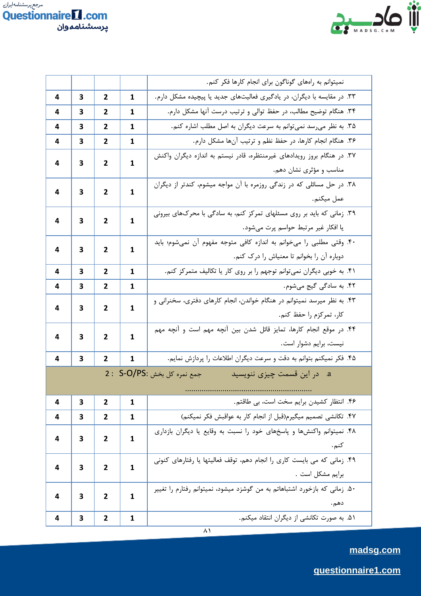



|   |   |                |                                                                                                                                                                                                                                                                                                                                                                                                                                                                                                                                                                                                                                                                                                                                                                                                                            | نمیتوانم به راههای گوناگون برای انجام کارها فکر کنم.                       |  |  |  |
|---|---|----------------|----------------------------------------------------------------------------------------------------------------------------------------------------------------------------------------------------------------------------------------------------------------------------------------------------------------------------------------------------------------------------------------------------------------------------------------------------------------------------------------------------------------------------------------------------------------------------------------------------------------------------------------------------------------------------------------------------------------------------------------------------------------------------------------------------------------------------|----------------------------------------------------------------------------|--|--|--|
| 4 | 3 | 2              | 1                                                                                                                                                                                                                                                                                                                                                                                                                                                                                                                                                                                                                                                                                                                                                                                                                          | ۳۳. در مقایسه با دیگران، در یادگیری فعالیتهای جدید یا پیچیده مشکل دارم.    |  |  |  |
| 4 | 3 | $\mathbf{2}$   | 1                                                                                                                                                                                                                                                                                                                                                                                                                                                                                                                                                                                                                                                                                                                                                                                                                          | ۳۴. هنگام توضیح مطالب، در حفظ توالی و ترتیب درست آنها مشکل دارم.           |  |  |  |
| 4 | 3 | 2              | 1                                                                                                                                                                                                                                                                                                                                                                                                                                                                                                                                                                                                                                                                                                                                                                                                                          | ۳۵. به نظر میرسد نمیتوانم به سرعت دیگران به اصل مطلب اشاره کنم.            |  |  |  |
| 4 | 3 | $\mathbf{2}$   | 1                                                                                                                                                                                                                                                                                                                                                                                                                                                                                                                                                                                                                                                                                                                                                                                                                          | ۳۶. هنگام انجام کارها، در حفظ نظم و ترتیب آنها مشکل دارم.                  |  |  |  |
| 4 | 3 | 2              |                                                                                                                                                                                                                                                                                                                                                                                                                                                                                                                                                                                                                                                                                                                                                                                                                            | ۳۷. در هنگام بروز رویدادهای غیرمنتظره، قادر نیستم به اندازه دیگران واکنش   |  |  |  |
|   |   |                |                                                                                                                                                                                                                                                                                                                                                                                                                                                                                                                                                                                                                                                                                                                                                                                                                            | مناسب و مؤثری نشان دهم.                                                    |  |  |  |
| 4 | 3 | 2              | 1                                                                                                                                                                                                                                                                                                                                                                                                                                                                                                                                                                                                                                                                                                                                                                                                                          |                                                                            |  |  |  |
|   |   |                |                                                                                                                                                                                                                                                                                                                                                                                                                                                                                                                                                                                                                                                                                                                                                                                                                            | عمل ميكنم.                                                                 |  |  |  |
| 4 | 3 | 2              | 1                                                                                                                                                                                                                                                                                                                                                                                                                                                                                                                                                                                                                                                                                                                                                                                                                          |                                                                            |  |  |  |
|   |   |                | 1<br>۳۸. در حل مسائلی که در زندگی روزمره با آن مواجه میشوم، کندتر از دیگران<br>۳۹. زمانی که باید بر روی مسئلهای تمرکز کنم، به سادگی با محرکهای بیرونی<br>يا افكار غير مرتبط حواسم پرت مىشود.<br>۴۰. وقتی مطلبی را میخوانم به اندازه کافی متوجه مفهوم آن نمیشوم؛ باید<br>1<br>دوباره أن را بخوانم تا معنياش را درك كنم.<br>۴۱. به خوبی دیگران نمیتوانم توجهم را بر روی کار یا تکالیف متمرکز کنم.<br>1<br>1<br>۴۳. به نظر میرسد نمیتوانم در هنگام خواندن، انجام کارهای دفتری، سخنرانی و<br>1<br>كار، تمركزم را حفظ كنم.<br>۴۴. در موقع انجام کارها، تمایز قائل شدن بین آنچه مهم است و آنچه مهم<br>1<br>نیست، برایم دشوار است.<br>۴۵. فکر نمیکنم بتوانم به دقت و سرعت دیگران اطلاعات را پردازش نمایم.<br>1<br>در این قسمت چیزی ننویسید<br>$\mathbf{a}$<br>۴۶. انتظار کشیدن برایم سخت است، بی طاقتم.<br>1<br>1<br>$\mathbf{1}$ |                                                                            |  |  |  |
| 4 | 3 | 2              |                                                                                                                                                                                                                                                                                                                                                                                                                                                                                                                                                                                                                                                                                                                                                                                                                            |                                                                            |  |  |  |
|   |   |                |                                                                                                                                                                                                                                                                                                                                                                                                                                                                                                                                                                                                                                                                                                                                                                                                                            |                                                                            |  |  |  |
| 4 | 3 | 2              |                                                                                                                                                                                                                                                                                                                                                                                                                                                                                                                                                                                                                                                                                                                                                                                                                            |                                                                            |  |  |  |
| 4 | 3 | 2              |                                                                                                                                                                                                                                                                                                                                                                                                                                                                                                                                                                                                                                                                                                                                                                                                                            | ۴۲. به سادگی گیج میشوم.                                                    |  |  |  |
| 4 | 3 | 2              |                                                                                                                                                                                                                                                                                                                                                                                                                                                                                                                                                                                                                                                                                                                                                                                                                            |                                                                            |  |  |  |
|   |   |                | جمع نمره کل بخش :S-O/PS :<br>$\mathbf{1}$<br>$\mathbf{1}$<br>1                                                                                                                                                                                                                                                                                                                                                                                                                                                                                                                                                                                                                                                                                                                                                             |                                                                            |  |  |  |
| 4 | 3 | 2              |                                                                                                                                                                                                                                                                                                                                                                                                                                                                                                                                                                                                                                                                                                                                                                                                                            |                                                                            |  |  |  |
|   |   |                |                                                                                                                                                                                                                                                                                                                                                                                                                                                                                                                                                                                                                                                                                                                                                                                                                            |                                                                            |  |  |  |
| 4 | 3 | 2              |                                                                                                                                                                                                                                                                                                                                                                                                                                                                                                                                                                                                                                                                                                                                                                                                                            |                                                                            |  |  |  |
|   |   |                |                                                                                                                                                                                                                                                                                                                                                                                                                                                                                                                                                                                                                                                                                                                                                                                                                            |                                                                            |  |  |  |
|   |   |                |                                                                                                                                                                                                                                                                                                                                                                                                                                                                                                                                                                                                                                                                                                                                                                                                                            |                                                                            |  |  |  |
| 4 | 3 | 2              |                                                                                                                                                                                                                                                                                                                                                                                                                                                                                                                                                                                                                                                                                                                                                                                                                            |                                                                            |  |  |  |
| 4 | 3 | $\overline{2}$ |                                                                                                                                                                                                                                                                                                                                                                                                                                                                                                                                                                                                                                                                                                                                                                                                                            | ۴۷. تکانشی تصمیم میگیرم(قبل از انجام کار به عواقبش فکر نمیکنم)             |  |  |  |
| 4 | 3 | 2              |                                                                                                                                                                                                                                                                                                                                                                                                                                                                                                                                                                                                                                                                                                                                                                                                                            | ۴۸. نمیتوانم واکنشها و پاسخهای خود را نسبت به وقایع یا دیگران بازداری      |  |  |  |
|   |   |                |                                                                                                                                                                                                                                                                                                                                                                                                                                                                                                                                                                                                                                                                                                                                                                                                                            | كنم.                                                                       |  |  |  |
| 4 | З | 2              |                                                                                                                                                                                                                                                                                                                                                                                                                                                                                                                                                                                                                                                                                                                                                                                                                            | ۴۹. زمانی که می بایست کاری را انجام دهم، توقف فعالیتها یا رفتارهای کنونی   |  |  |  |
|   |   |                |                                                                                                                                                                                                                                                                                                                                                                                                                                                                                                                                                                                                                                                                                                                                                                                                                            | برايم مشكل است .                                                           |  |  |  |
| 4 | 3 | $\mathbf{2}$   |                                                                                                                                                                                                                                                                                                                                                                                                                                                                                                                                                                                                                                                                                                                                                                                                                            | ۵۰. زمانی که بازخورد اشتباهاتم به من گوشزد میشود، نمیتوانم رفتارم را تغییر |  |  |  |
|   |   |                |                                                                                                                                                                                                                                                                                                                                                                                                                                                                                                                                                                                                                                                                                                                                                                                                                            | دهم.                                                                       |  |  |  |
| 4 | 3 | $\mathbf{2}$   |                                                                                                                                                                                                                                                                                                                                                                                                                                                                                                                                                                                                                                                                                                                                                                                                                            | ۵۱. به صورت تکانشی از دیگران انتقاد میکنم.                                 |  |  |  |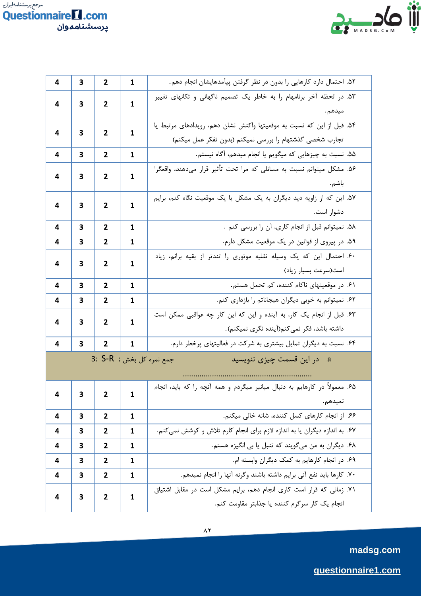

| 4                                                       | 3 | $\overline{2}$ | $\mathbf{1}$                                                                              | ۵۲. احتمال دارد کارهایی را بدون در نظر گرفتن پیآمدهایشان انجام دهم.                                                               |  |  |  |
|---------------------------------------------------------|---|----------------|-------------------------------------------------------------------------------------------|-----------------------------------------------------------------------------------------------------------------------------------|--|--|--|
| 4                                                       | 3 | $\overline{2}$ | 1                                                                                         | ۵۳. در لحظه آخر برنامهام را به خاطر یک تصمیم ناگهانی و تکانهای تغییر                                                              |  |  |  |
| 4                                                       | 3 | 2              | 1                                                                                         | ۵۴. قبل از این که نسبت به موقعیتها واکنش نشان دهم، رویدادهای مرتبط یا<br>تجارب شخصی گذشتهام را بررسی نمیکنم (بدون تفکر عمل میکنم) |  |  |  |
| 4                                                       | 3 | 2              | 1                                                                                         | ۵۵. نسبت به چیزهایی که میگویم یا انجام میدهم، آگاه نیستم.                                                                         |  |  |  |
| 4                                                       | 3 | 2              | 1                                                                                         | ۵۶. مشکل میتوانم نسبت به مسائلی که مرا تحت تأثیر قرار میدهند، واقعگرا<br>باشم.                                                    |  |  |  |
| 4                                                       | 3 | 2              | ۵۷. این که از زاویه دید دیگران به یک مشکل یا یک موقعیت نگاه کنم، برایم<br>1<br>دشوار است. |                                                                                                                                   |  |  |  |
| 4                                                       | 3 | 2              | 1                                                                                         | ۵۸. نمیتوانم قبل از انجام کاری، آن را بررسی کنم .                                                                                 |  |  |  |
| 4                                                       | 3 | 2              | 1                                                                                         | ۵۹. در پیروی از قوانین در یک موقعیت مشکل دارم.                                                                                    |  |  |  |
| 4                                                       | 3 | $\overline{2}$ | 1                                                                                         | .<br>۶۰. احتمال این که یک وسیله نقلیه موتوری را تندتر از بقیه برانم، زیاد<br>است(سرعت بسيار زياد)                                 |  |  |  |
| 4                                                       | 3 | 2              | 1                                                                                         | ۶۱. در موقعیتهای ناکام کننده، کم تحمل هستم.                                                                                       |  |  |  |
| 4                                                       | 3 | 2              | 1                                                                                         | .<br>۶۲. نمیتوانم به خوبی دیگران هیجاناتم را بازداری کنم.                                                                         |  |  |  |
| 4                                                       | 3 | $\mathbf{2}$   | 1                                                                                         | ۶۳. قبل از انجام یک کار، به آینده و این که این کار چه عواقبی ممکن است<br>داشته باشد، فكر نمي كنم(آينده نگرى نميكنم).              |  |  |  |
| 4                                                       | 3 | 2              | 1                                                                                         | ۶۴. نسبت به دیگران تمایل بیشتری به شرکت در فعالیتهای پرخطر دارم.                                                                  |  |  |  |
| a. در این قسمت چیزی ننویسید<br>جمع نمره كل بخش : 3: S-R |   |                |                                                                                           |                                                                                                                                   |  |  |  |
| 4                                                       | 3 | $\mathbf{2}$   | 1                                                                                         | ۶۵. معمولاً در کارهایم به دنبال میانبر میگردم و همه آنچه را که باید، انجام<br>نميدهم.                                             |  |  |  |
| 4                                                       | 3 | $\mathbf{2}$   | $\mathbf{1}$                                                                              | ۶۶. از انجام کارهای کسل کننده، شانه خالی میکنم.                                                                                   |  |  |  |
| 4                                                       | 3 | $\mathbf{2}$   | $\mathbf{1}$                                                                              | ۶۷. به اندازه دیگران یا به اندازه لازم برای انجام کارم تلاش و کوشش نمیکنم.                                                        |  |  |  |
| 4                                                       | 3 | $\mathbf{2}$   | 1                                                                                         | ۶۸. دیگران به من میگویند که تنبل یا بی انگیزه هستم.                                                                               |  |  |  |
| 4                                                       | 3 | 2              | $\mathbf{1}$                                                                              | ۶۹. در انجام کارهایم به کمک دیگران وابسته ام.                                                                                     |  |  |  |
| 4                                                       | 3 | $\mathbf{2}$   | 1                                                                                         | ٧٠. كارها بايد نفع آني برايم داشته باشند وكرنه آنها را انجام نميدهم.                                                              |  |  |  |
| 4                                                       | 3 | 2              | 1                                                                                         | ۷۱. زمانی که قرار است کاری انجام دهم، برایم مشکل است در مقابل اشتیاق<br>انجام یک کار سرگرم کننده یا جذابتر مقاومت کنم.            |  |  |  |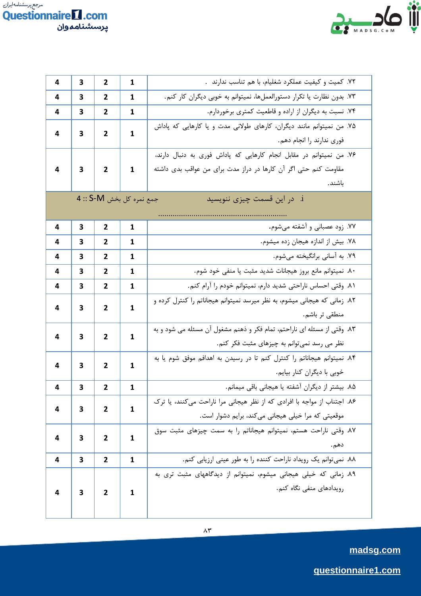



| 4 | 3 | $\overline{2}$ | 1                                                                                                                                                                                                                                                                                                                                                                                                                                                 | ۷۲. کمیت و کیفیت عملکرد شغلیام، با هم تناسب ندارند .                      |  |  |
|---|---|----------------|---------------------------------------------------------------------------------------------------------------------------------------------------------------------------------------------------------------------------------------------------------------------------------------------------------------------------------------------------------------------------------------------------------------------------------------------------|---------------------------------------------------------------------------|--|--|
| 4 | 3 | 2              | 1                                                                                                                                                                                                                                                                                                                                                                                                                                                 | ۷۳. بدون نظارت یا تکرار دستورالعملها، نمیتوانم به خوبی دیگران کار کنم.    |  |  |
| 4 | 3 | 2              | 1                                                                                                                                                                                                                                                                                                                                                                                                                                                 | ۷۴. نسبت به دیگران از اراده و قاطعیت کمتری برخوردارم.                     |  |  |
|   | 3 | 2              |                                                                                                                                                                                                                                                                                                                                                                                                                                                   | ۷۵. من نمیتوانم مانند دیگران، کارهای طولانی مدت و یا کارهایی که پاداش     |  |  |
| 4 |   |                | 1<br>فوري ندارند را انجام دهم.<br>مقاومت کنم حتی اگر آن کارها در دراز مدت برای من عواقب بدی داشته<br>1<br>باشند.<br>i. در این قسمت چیزی ننویسید<br>1<br>1<br>1<br>1<br>1<br>1<br>منطقى تر باشم.<br>1<br>نظر می رسد نمی توانم به چیزهای مثبت فکر کنم.<br>1<br>خوبي با ديگران كنار بيايم.<br>$\mathbf{1}$<br>$\mathbf{1}$<br>موقعیتی که مرا خیلی هیجانی میکند، برایم دشوار است.<br>$\mathbf{1}$<br>دهم.<br>$\mathbf{1}$<br>رویدادهای منفی نگاه کنم. |                                                                           |  |  |
|   |   |                |                                                                                                                                                                                                                                                                                                                                                                                                                                                   | ۷۶. من نمیتوانم در مقابل انجام کارهایی که پاداش فوری به دنبال دارند،      |  |  |
| 4 | 3 | $\mathbf{2}$   |                                                                                                                                                                                                                                                                                                                                                                                                                                                   |                                                                           |  |  |
|   |   |                |                                                                                                                                                                                                                                                                                                                                                                                                                                                   |                                                                           |  |  |
|   |   |                |                                                                                                                                                                                                                                                                                                                                                                                                                                                   |                                                                           |  |  |
|   |   |                |                                                                                                                                                                                                                                                                                                                                                                                                                                                   |                                                                           |  |  |
| 4 | З | 2              |                                                                                                                                                                                                                                                                                                                                                                                                                                                   | ۷۷. زود عصبانی و آشفته میشوم.                                             |  |  |
| 4 | з | 2              |                                                                                                                                                                                                                                                                                                                                                                                                                                                   | ٧٨. بيش از اندازه هيجان زده ميشوم.                                        |  |  |
| 4 | 3 | 2              |                                                                                                                                                                                                                                                                                                                                                                                                                                                   | ۷۹. به آسانی برانگیخته میشوم.                                             |  |  |
| 4 | 3 | 2              |                                                                                                                                                                                                                                                                                                                                                                                                                                                   | ٨٠. نميتوانم مانع بروز هيجانات شديد مثبت يا منفى خود شوم.                 |  |  |
| 4 | 3 | $\overline{2}$ |                                                                                                                                                                                                                                                                                                                                                                                                                                                   | ٨١. وقتى احساس ناراحتى شديد دارم، نميتوانم خودم را آرام كنم.              |  |  |
| 4 | 3 | 2              |                                                                                                                                                                                                                                                                                                                                                                                                                                                   | ۸۲. زمانی که هیجانی میشوم، به نظر میرسد نمیتوانم هیجاناتم را کنترل کرده و |  |  |
|   |   |                |                                                                                                                                                                                                                                                                                                                                                                                                                                                   |                                                                           |  |  |
| 4 | 3 | 2              | جمع نمره كل بخش S-M :: 4                                                                                                                                                                                                                                                                                                                                                                                                                          | ۸۳. وقتی از مسئله ای ناراحتم، تمام فکر و ذهنم مشغول آن مسئله می شود و به  |  |  |
|   |   |                |                                                                                                                                                                                                                                                                                                                                                                                                                                                   |                                                                           |  |  |
| 4 | 3 | $\mathbf{2}$   |                                                                                                                                                                                                                                                                                                                                                                                                                                                   |                                                                           |  |  |
|   |   |                | ۸۴. نمیتوانم هیجاناتم را کنترل کنم تا در رسیدن به اهدافم موفق شوم یا به<br>۸۶. اجتناب از مواجه با افرادی که از نظر هیجانی مرا ناراحت میکنند، یا ترک                                                                                                                                                                                                                                                                                               |                                                                           |  |  |
| 4 | 3 | $\overline{2}$ |                                                                                                                                                                                                                                                                                                                                                                                                                                                   | ٨۵. بیشتر از دیگران آشفته یا هیجانی باقی میمانم.                          |  |  |
| 4 | 3 | $\overline{2}$ |                                                                                                                                                                                                                                                                                                                                                                                                                                                   |                                                                           |  |  |
|   |   |                |                                                                                                                                                                                                                                                                                                                                                                                                                                                   |                                                                           |  |  |
| 4 | 3 | $\mathbf{2}$   |                                                                                                                                                                                                                                                                                                                                                                                                                                                   | ٨٧. وقتی ناراحت هستم، نمیتوانم هیجاناتم را به سمت چیزهای مثبت سوق         |  |  |
|   |   |                |                                                                                                                                                                                                                                                                                                                                                                                                                                                   |                                                                           |  |  |
| 4 | 3 | $\overline{2}$ |                                                                                                                                                                                                                                                                                                                                                                                                                                                   | ٨٨. نمی توانم یک رویداد ناراحت کننده را به طور عینی ارزیابی کنم.          |  |  |
|   |   | 2              | 1                                                                                                                                                                                                                                                                                                                                                                                                                                                 | ٨٩. زمانی که خیلی هیجانی میشوم، نمیتوانم از دیدگاههای مثبت تری به         |  |  |
| 4 | 3 |                |                                                                                                                                                                                                                                                                                                                                                                                                                                                   |                                                                           |  |  |
|   |   |                |                                                                                                                                                                                                                                                                                                                                                                                                                                                   |                                                                           |  |  |
|   |   |                |                                                                                                                                                                                                                                                                                                                                                                                                                                                   |                                                                           |  |  |